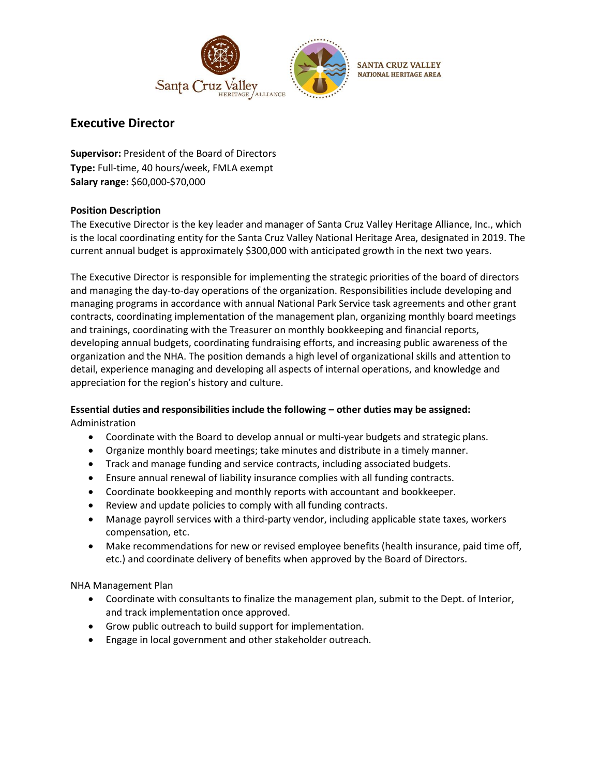

# **Executive Director**

**Supervisor:** President of the Board of Directors **Type:** Full-time, 40 hours/week, FMLA exempt **Salary range:** \$60,000-\$70,000

### **Position Description**

The Executive Director is the key leader and manager of Santa Cruz Valley Heritage Alliance, Inc., which is the local coordinating entity for the Santa Cruz Valley National Heritage Area, designated in 2019. The current annual budget is approximately \$300,000 with anticipated growth in the next two years.

The Executive Director is responsible for implementing the strategic priorities of the board of directors and managing the day-to-day operations of the organization. Responsibilities include developing and managing programs in accordance with annual National Park Service task agreements and other grant contracts, coordinating implementation of the management plan, organizing monthly board meetings and trainings, coordinating with the Treasurer on monthly bookkeeping and financial reports, developing annual budgets, coordinating fundraising efforts, and increasing public awareness of the organization and the NHA. The position demands a high level of organizational skills and attention to detail, experience managing and developing all aspects of internal operations, and knowledge and appreciation for the region's history and culture.

### **Essential duties and responsibilities include the following – other duties may be assigned:** Administration

- Coordinate with the Board to develop annual or multi-year budgets and strategic plans.
- Organize monthly board meetings; take minutes and distribute in a timely manner.
- Track and manage funding and service contracts, including associated budgets.
- Ensure annual renewal of liability insurance complies with all funding contracts.
- Coordinate bookkeeping and monthly reports with accountant and bookkeeper.
- Review and update policies to comply with all funding contracts.
- Manage payroll services with a third-party vendor, including applicable state taxes, workers compensation, etc.
- Make recommendations for new or revised employee benefits (health insurance, paid time off, etc.) and coordinate delivery of benefits when approved by the Board of Directors.

NHA Management Plan

- Coordinate with consultants to finalize the management plan, submit to the Dept. of Interior, and track implementation once approved.
- Grow public outreach to build support for implementation.
- Engage in local government and other stakeholder outreach.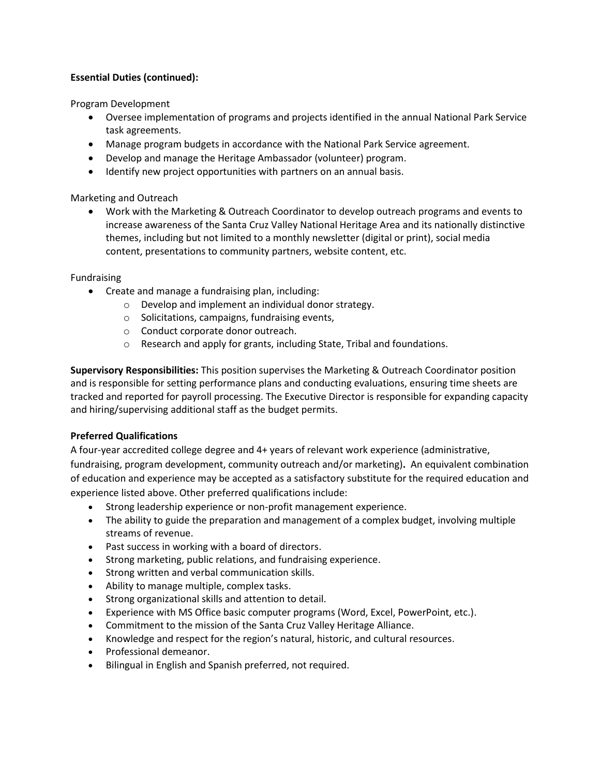### **Essential Duties (continued):**

Program Development

- Oversee implementation of programs and projects identified in the annual National Park Service task agreements.
- Manage program budgets in accordance with the National Park Service agreement.
- Develop and manage the Heritage Ambassador (volunteer) program.
- Identify new project opportunities with partners on an annual basis.

Marketing and Outreach

• Work with the Marketing & Outreach Coordinator to develop outreach programs and events to increase awareness of the Santa Cruz Valley National Heritage Area and its nationally distinctive themes, including but not limited to a monthly newsletter (digital or print), social media content, presentations to community partners, website content, etc.

Fundraising

- Create and manage a fundraising plan, including:
	- o Develop and implement an individual donor strategy.
	- o Solicitations, campaigns, fundraising events,
	- o Conduct corporate donor outreach.
	- o Research and apply for grants, including State, Tribal and foundations.

**Supervisory Responsibilities:** This position supervises the Marketing & Outreach Coordinator position and is responsible for setting performance plans and conducting evaluations, ensuring time sheets are tracked and reported for payroll processing. The Executive Director is responsible for expanding capacity and hiring/supervising additional staff as the budget permits.

## **Preferred Qualifications**

A four-year accredited college degree and 4+ years of relevant work experience (administrative,

fundraising, program development, community outreach and/or marketing)**.** An equivalent combination of education and experience may be accepted as a satisfactory substitute for the required education and experience listed above. Other preferred qualifications include:

- Strong leadership experience or non-profit management experience.
- The ability to guide the preparation and management of a complex budget, involving multiple streams of revenue.
- Past success in working with a board of directors.
- Strong marketing, public relations, and fundraising experience.
- Strong written and verbal communication skills.
- Ability to manage multiple, complex tasks.
- Strong organizational skills and attention to detail.
- Experience with MS Office basic computer programs (Word, Excel, PowerPoint, etc.).
- Commitment to the mission of the Santa Cruz Valley Heritage Alliance.
- Knowledge and respect for the region's natural, historic, and cultural resources.
- Professional demeanor.
- Bilingual in English and Spanish preferred, not required.